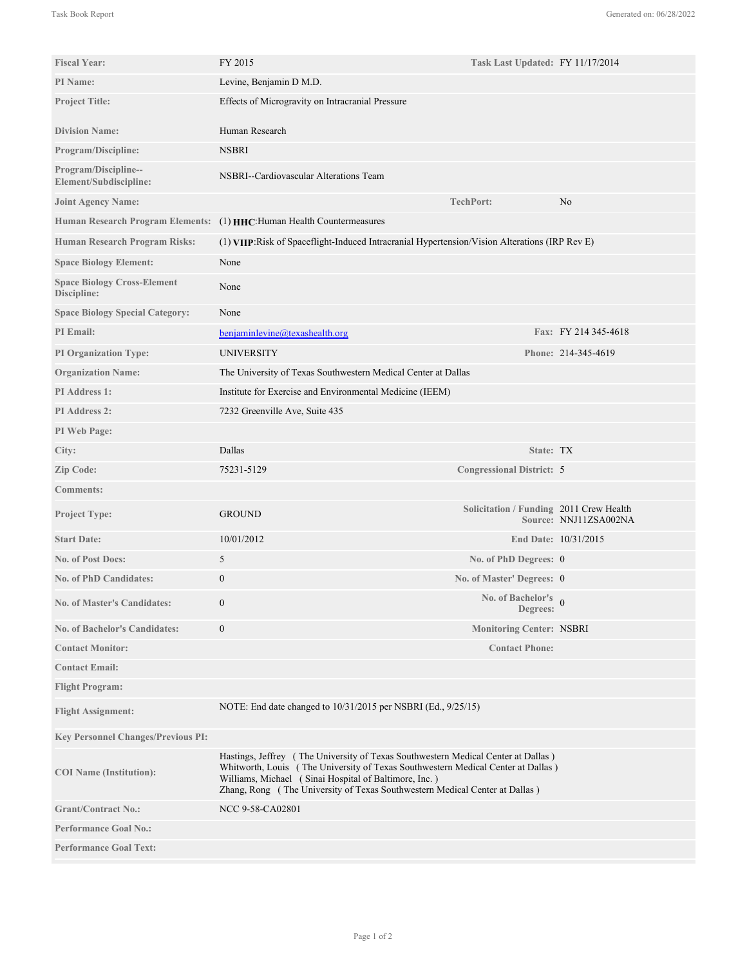| <b>Fiscal Year:</b>                               | FY 2015                                                                                                                                                                                                                                                                                                       | Task Last Updated: FY 11/17/2014        |                       |
|---------------------------------------------------|---------------------------------------------------------------------------------------------------------------------------------------------------------------------------------------------------------------------------------------------------------------------------------------------------------------|-----------------------------------------|-----------------------|
| PI Name:                                          | Levine, Benjamin D M.D.                                                                                                                                                                                                                                                                                       |                                         |                       |
| <b>Project Title:</b>                             | Effects of Microgravity on Intracranial Pressure                                                                                                                                                                                                                                                              |                                         |                       |
|                                                   |                                                                                                                                                                                                                                                                                                               |                                         |                       |
| <b>Division Name:</b>                             | Human Research                                                                                                                                                                                                                                                                                                |                                         |                       |
| <b>Program/Discipline:</b>                        | <b>NSBRI</b>                                                                                                                                                                                                                                                                                                  |                                         |                       |
| Program/Discipline--<br>Element/Subdiscipline:    | NSBRI--Cardiovascular Alterations Team                                                                                                                                                                                                                                                                        |                                         |                       |
| <b>Joint Agency Name:</b>                         |                                                                                                                                                                                                                                                                                                               | <b>TechPort:</b>                        | N <sub>0</sub>        |
| <b>Human Research Program Elements:</b>           | (1) HHC: Human Health Countermeasures                                                                                                                                                                                                                                                                         |                                         |                       |
| <b>Human Research Program Risks:</b>              | (1) VIIP: Risk of Spaceflight-Induced Intracranial Hypertension/Vision Alterations (IRP Rev E)                                                                                                                                                                                                                |                                         |                       |
| <b>Space Biology Element:</b>                     | None                                                                                                                                                                                                                                                                                                          |                                         |                       |
| <b>Space Biology Cross-Element</b><br>Discipline: | None                                                                                                                                                                                                                                                                                                          |                                         |                       |
| <b>Space Biology Special Category:</b>            | None                                                                                                                                                                                                                                                                                                          |                                         |                       |
| <b>PI</b> Email:                                  | benjaminlevine@texashealth.org                                                                                                                                                                                                                                                                                |                                         | Fax: FY 214 345-4618  |
| PI Organization Type:                             | <b>UNIVERSITY</b>                                                                                                                                                                                                                                                                                             |                                         | Phone: 214-345-4619   |
| <b>Organization Name:</b>                         | The University of Texas Southwestern Medical Center at Dallas                                                                                                                                                                                                                                                 |                                         |                       |
| PI Address 1:                                     | Institute for Exercise and Environmental Medicine (IEEM)                                                                                                                                                                                                                                                      |                                         |                       |
| <b>PI Address 2:</b>                              | 7232 Greenville Ave, Suite 435                                                                                                                                                                                                                                                                                |                                         |                       |
| PI Web Page:                                      |                                                                                                                                                                                                                                                                                                               |                                         |                       |
| City:                                             | Dallas                                                                                                                                                                                                                                                                                                        | State: TX                               |                       |
| <b>Zip Code:</b>                                  | 75231-5129                                                                                                                                                                                                                                                                                                    | <b>Congressional District: 5</b>        |                       |
| <b>Comments:</b>                                  |                                                                                                                                                                                                                                                                                                               |                                         |                       |
| Project Type:                                     | <b>GROUND</b>                                                                                                                                                                                                                                                                                                 | Solicitation / Funding 2011 Crew Health | Source: NNJ11ZSA002NA |
| <b>Start Date:</b>                                | 10/01/2012                                                                                                                                                                                                                                                                                                    |                                         | End Date: 10/31/2015  |
| <b>No. of Post Docs:</b>                          | 5                                                                                                                                                                                                                                                                                                             | No. of PhD Degrees: 0                   |                       |
| <b>No. of PhD Candidates:</b>                     | $\boldsymbol{0}$                                                                                                                                                                                                                                                                                              | No. of Master' Degrees: 0               |                       |
| <b>No. of Master's Candidates:</b>                | $\boldsymbol{0}$                                                                                                                                                                                                                                                                                              | No. of Bachelor's $_0$<br>Degrees:      |                       |
| <b>No. of Bachelor's Candidates:</b>              | $\boldsymbol{0}$                                                                                                                                                                                                                                                                                              | <b>Monitoring Center: NSBRI</b>         |                       |
| <b>Contact Monitor:</b>                           |                                                                                                                                                                                                                                                                                                               | <b>Contact Phone:</b>                   |                       |
| <b>Contact Email:</b>                             |                                                                                                                                                                                                                                                                                                               |                                         |                       |
| <b>Flight Program:</b>                            |                                                                                                                                                                                                                                                                                                               |                                         |                       |
| <b>Flight Assignment:</b>                         | NOTE: End date changed to 10/31/2015 per NSBRI (Ed., 9/25/15)                                                                                                                                                                                                                                                 |                                         |                       |
| <b>Key Personnel Changes/Previous PI:</b>         |                                                                                                                                                                                                                                                                                                               |                                         |                       |
| <b>COI</b> Name (Institution):                    | Hastings, Jeffrey (The University of Texas Southwestern Medical Center at Dallas)<br>Whitworth, Louis (The University of Texas Southwestern Medical Center at Dallas)<br>Williams, Michael (Sinai Hospital of Baltimore, Inc.)<br>Zhang, Rong (The University of Texas Southwestern Medical Center at Dallas) |                                         |                       |
| <b>Grant/Contract No.:</b>                        | NCC 9-58-CA02801                                                                                                                                                                                                                                                                                              |                                         |                       |
| <b>Performance Goal No.:</b>                      |                                                                                                                                                                                                                                                                                                               |                                         |                       |
| <b>Performance Goal Text:</b>                     |                                                                                                                                                                                                                                                                                                               |                                         |                       |